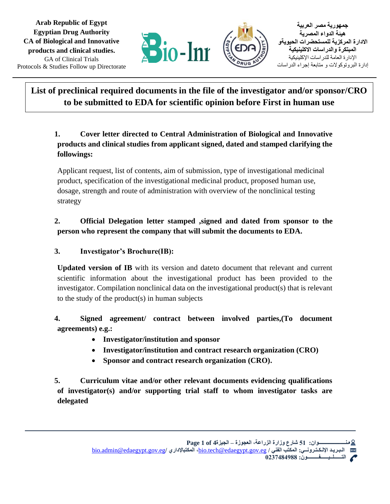

**جمهورية مصر العربية هيئة الدواء المصرية االدارة المركزية للمستحضرات الحيويةو المبتكرة والدراسات االكلينيكية**  اإلدارة العامة للدراسات اإلكلينيكية إدارة البروتوكوالت و متابعة إجراء الدراسات

# **List of preclinical required documents in the file of the investigator and/or sponsor/CRO to be submitted to EDA for scientific opinion before First in human use**

# **1. Cover letter directed to Central Administration of Biological and Innovative products and clinical studies from applicant signed, dated and stamped clarifying the followings:**

Applicant request, list of contents, aim of submission, type of investigational medicinal product, specification of the investigational medicinal product, proposed human use, dosage, strength and route of administration with overview of the nonclinical testing strategy

### **2. Official Delegation letter stamped ,signed and dated from sponsor to the person who represent the company that will submit the documents to EDA.**

# **3. Investigator's Brochure(IB):**

**Updated version of IB** with its version and dateto document that relevant and current scientific information about the investigational product has been provided to the investigator. Compilation nonclinical data on the investigational product(s) that is relevant to the study of the product(s) in human subjects

# **4. Signed agreement/ contract between involved parties,(To document agreements) e.g.:**

- **Investigator/institution and sponsor**
- **Investigator/institution and contract research organization (CRO)**
- **Sponsor and contract research organization (CRO).**

**5. Curriculum vitae and/or other relevant documents evidencing qualifications of investigator(s) and/or supporting trial staff to whom investigator tasks are delegated**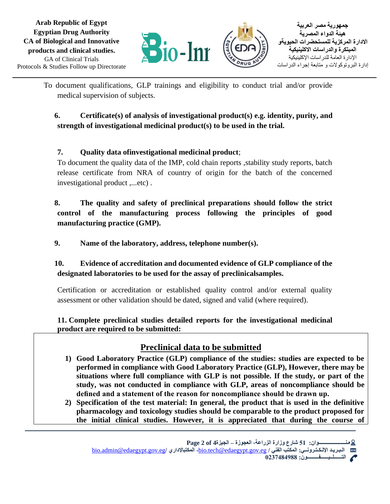GA of Clinical Trials **Arab Republic of Egypt Egyptian Drug Authority CA of Biological and Innovative products and clinical studies.** Protocols & Studies Follow up Directorate



To document qualifications, GLP trainings and eligibility to conduct trial and/or provide medical supervision of subjects.

### **6. Certificate(s) of analysis of investigational product(s) e.g. identity, purity, and strength of investigational medicinal product(s) to be used in the trial.**

# **7. Quality data ofinvestigational medicinal product**;

To document the quality data of the IMP, cold chain reports , stability study reports, batch release certificate from NRA of country of origin for the batch of the concerned investigational product ,...etc) .

# **8. The quality and safety of preclinical preparations should follow the strict control of the manufacturing process following the principles of good manufacturing practice (GMP).**

**9. Name of the laboratory, address, telephone number(s).**

# **10. Evidence of accreditation and documented evidence of GLP compliance of the designated laboratories to be used for the assay of preclinicalsamples.**

Certification or accreditation or established quality control and/or external quality assessment or other validation should be dated, signed and valid (where required).

### **11. Complete preclinical studies detailed reports for the investigational medicinal product are required to be submitted:**

# **Preclinical data to be submitted**

- **1) Good Laboratory Practice (GLP) compliance of the studies: studies are expected to be performed in compliance with Good Laboratory Practice (GLP), However, there may be situations where full compliance with GLP is not possible. If the study, or part of the study, was not conducted in compliance with GLP, areas of noncompliance should be defined and a statement of the reason for noncompliance should be drawn up.**
- **2) Specification of the test material: In general, the product that is used in the definitive pharmacology and toxicology studies should be comparable to the product proposed for the initial clinical studies. However, it is appreciated that during the course of**

**التــــــلــيــــــفـــــــــون: 0237484988**

[bio.admin@edaegypt.gov.eg](mailto:bio.admin@edaegypt.gov.eg)**/ اإلداري المكتب ،**[bio.tech@edaegypt.gov.eg](mailto:bio.tech@edaegypt.gov.eg) **/ الفني المكتب :اإللـكـتـرونــي الـبـريـد** X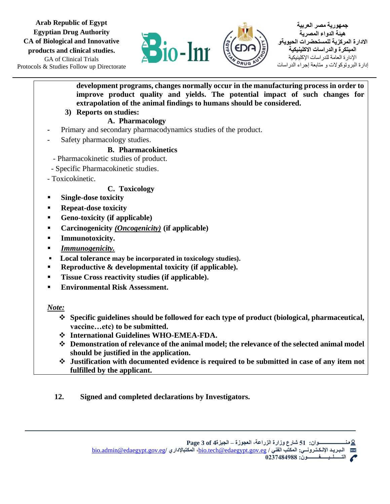GA of Clinical Trials **Arab Republic of Egypt Egyptian Drug Authority CA of Biological and Innovative products and clinical studies.** Protocols & Studies Follow up Directorate



**جمهورية مصر العربية هيئة الدواء المصرية االدارة المركزية للمستحضرات الحيويةو المبتكرة والدراسات االكلينيكية**  اإلدارة العامة للدراسات اإلكلينيكية إدارة البروتوكوالت و متابعة إجراء الدراسات

**development programs, changes normally occur in the manufacturing process in order to improve product quality and yields. The potential impact of such changes for extrapolation of the animal findings to humans should be considered.**

**3) Reports on studies:**

#### **A. Pharmacology**

- **-** Primary and secondary pharmacodynamics studies of the product.
- **-** Safety pharmacology studies.

### **B. Pharmacokinetics**

- Pharmacokinetic studies of product.
- Specific Pharmacokinetic studies.
- Toxicokinetic.

### **C. Toxicology**

- **Single-dose toxicity**
- **Repeat-dose toxicity**
- **Geno-toxicity (if applicable)**
- **Carcinogenicity** *(Oncogenicity)* **(if applicable)**
- **Immunotoxicity.**
- *Immunogenicity.*
- **Local tolerance may be incorporated in toxicology studies).**
- **Reproductive & developmental toxicity (if applicable).**
- **Tissue Cross reactivity studies (if applicable).**
- **Environmental Risk Assessment.**

### *Note:*

- ❖ **Specific guidelines should be followed for each type of product (biological, pharmaceutical, vaccine…etc) to be submitted.**
- ❖ **International Guidelines WHO-EMEA-FDA.**
- ❖ **Demonstration of relevance of the animal model; the relevance of the selected animal model should be justified in the application.**
- ❖ **Justification with documented evidence is required to be submitted in case of any item not fulfilled by the applicant.**
- **12. Signed and completed declarations by Investigators.**